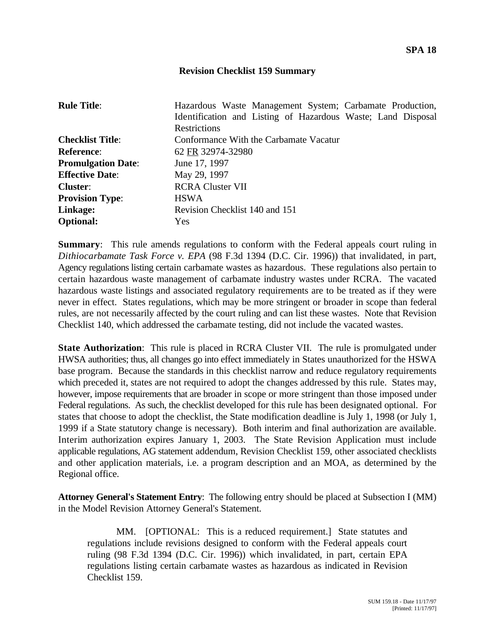## **Revision Checklist 159 Summary**

| <b>Rule Title:</b>        | Hazardous Waste Management System; Carbamate Production,<br>Identification and Listing of Hazardous Waste; Land Disposal<br><b>Restrictions</b> |
|---------------------------|-------------------------------------------------------------------------------------------------------------------------------------------------|
|                           |                                                                                                                                                 |
| <b>Checklist Title:</b>   | Conformance With the Carbamate Vacatur                                                                                                          |
| <b>Reference:</b>         | 62 FR 32974-32980                                                                                                                               |
| <b>Promulgation Date:</b> | June 17, 1997                                                                                                                                   |
| <b>Effective Date:</b>    | May 29, 1997                                                                                                                                    |
| <b>Cluster:</b>           | <b>RCRA Cluster VII</b>                                                                                                                         |
| <b>Provision Type:</b>    | <b>HSWA</b>                                                                                                                                     |
| Linkage:                  | Revision Checklist 140 and 151                                                                                                                  |
| <b>Optional:</b>          | <b>Yes</b>                                                                                                                                      |

**Summary:** This rule amends regulations to conform with the Federal appeals court ruling in *Dithiocarbamate Task Force v. EPA* (98 F.3d 1394 (D.C. Cir. 1996)) that invalidated, in part, Agency regulations listing certain carbamate wastes as hazardous. These regulations also pertain to certain hazardous waste management of carbamate industry wastes under RCRA. The vacated hazardous waste listings and associated regulatory requirements are to be treated as if they were never in effect. States regulations, which may be more stringent or broader in scope than federal rules, are not necessarily affected by the court ruling and can list these wastes. Note that Revision Checklist 140, which addressed the carbamate testing, did not include the vacated wastes.

**State Authorization:** This rule is placed in RCRA Cluster VII. The rule is promulgated under HWSA authorities; thus, all changes go into effect immediately in States unauthorized for the HSWA base program. Because the standards in this checklist narrow and reduce regulatory requirements which preceded it, states are not required to adopt the changes addressed by this rule. States may, however, impose requirements that are broader in scope or more stringent than those imposed under Federal regulations. As such, the checklist developed for this rule has been designated optional. For states that choose to adopt the checklist, the State modification deadline is July 1, 1998 (or July 1, 1999 if a State statutory change is necessary). Both interim and final authorization are available. Interim authorization expires January 1, 2003. The State Revision Application must include applicable regulations, AG statement addendum, Revision Checklist 159, other associated checklists and other application materials, i.e. a program description and an MOA, as determined by the Regional office.

**Attorney General's Statement Entry**: The following entry should be placed at Subsection I (MM) in the Model Revision Attorney General's Statement.

MM. [OPTIONAL: This is a reduced requirement.] State statutes and regulations include revisions designed to conform with the Federal appeals court ruling (98 F.3d 1394 (D.C. Cir. 1996)) which invalidated, in part, certain EPA regulations listing certain carbamate wastes as hazardous as indicated in Revision Checklist 159.